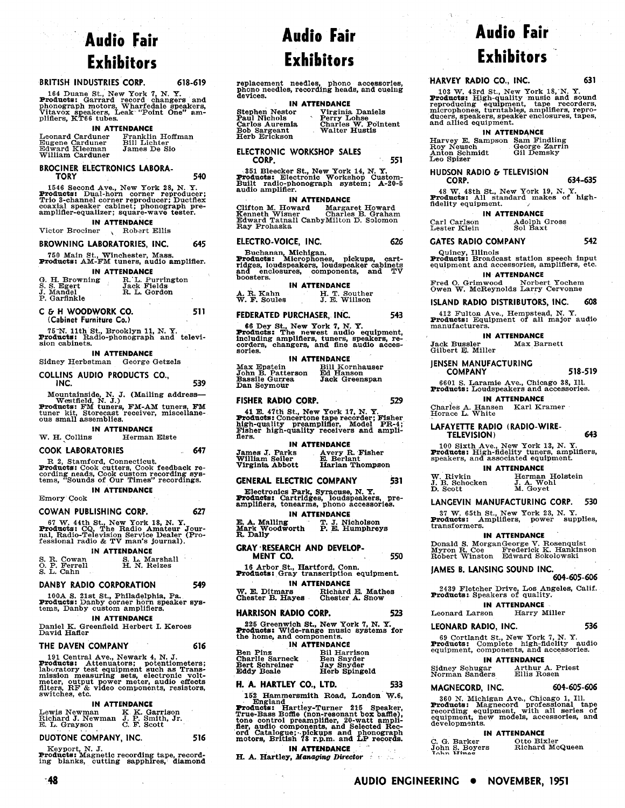# **Audio Fair Exhibitors**

### **BRITISH INDUSTRIES CORP. 618-619**

 $\delta \phi_{\rm{g}}(\omega)$  and  $\delta$ 

164 Duane St., New York 7, N. Y.<br>**Products:** Garrard record changers and<br>phonograph motors, Wharfedale speakers,<br>Vitavox speakers, Leak "Point One" am-<br>plifiers, KT66 tubes.

#### **IN ATTENDANCE**

| Leonard Carduner<br>Eugene Carduner<br>Edward Kleeman<br>William Carduner | Franklin Hoffman<br><b>Bill Lichter</b><br>James De Sio |
|---------------------------------------------------------------------------|---------------------------------------------------------|
|                                                                           |                                                         |

## **BROCINER ELECTRONICS LABORA-**<br>TORY

**TORY 540**  1546 Second Ave., New York 28, N. Y.<br>**Products:** Dual-horn corner reproducer;<br>Coaxial speaker cabinet; phonograph pre-<br>coaxial speaker cabinet; phonograph pre-<br>amplifier-equalizer; square-wave tester.

### **IN ATTENDANCE**

#### Victor Brociner , Robart Ellis

#### **BROWNING LABORATORIES, INC. 645**

750 Main St., Winchester, Mass. Products: AM-FM tuners, audio amplifier.

#### **IN ATTENDANCE**

| G. H. Browning<br>S. S. Egert<br>J. Mandel<br>P. Garfinkle | R. L. Purrington<br>Jack Fields<br>R. L. Gordon |  |
|------------------------------------------------------------|-------------------------------------------------|--|
|                                                            |                                                 |  |

- **C** 6. **H WOODWORK CO. 51 1 (Cabinet Furniture Co.)**
- 75 N. 11th St., Brooklyn 11, N. Y.<br>**Products:** Radio-phonograph and televi-<br>sion cabinets.

#### **IN ATTENDANCE**

Sidney Herbstman George Getzels

**COLLINS AUDIO PRODUCTS CO.,** 

**INC. 539**  Mountainside, N. 3. (Mailing address-Westfleld N J ) Products: FM tinirs FN-AM tuners FM tuner kit Storecast 'receiver, misceliane- ous smali assemblies.

**IN ATTENDANCE**<br>W. H. Collins Herman **Herman Elste** 

#### **COOK LABORATORIES 647**

R 2, Stamford, Connecticut.<br>**Products:** Cook cutters, Cook feedback re-<br>cording neads, Cook custom recording sys-<br>tems, "Sounds of Our Times" recordings.

### **IN ATTENDANCE**

Emory Cook

#### **COWAN PUBLISHING CORP. 627**

67 W. 44th St., New York 18, N. Y.<br>**Products:** CQ, The Radio Amateur Jour-<br>nal, Radio-Television Service Dealer (Pro-<br>fessional radio & TV man's journal).

#### **IN ATTENDANCE**

|  | S. R. Cowan<br>O. P. Ferrell<br>$S. L.$ Cahn | S. L. Marshall<br>H. N. Reizes |  |
|--|----------------------------------------------|--------------------------------|--|
|  |                                              |                                |  |

### **DANBY RADIO CORPORATION 549**

100A S. 21st St., Philadelphia, Pa.<br>**Products:** Danby corner horn speaker sys-<br>tems, Danby custom amplifiers.

#### **IN ATTENDANCE**

Daniel K. Greenfield Herbert I. Keroes David Hafier

#### **THE DAVEN COMPANY 616**

191 Central Ave., Newark 4, N. J.<br>**Products:** Attenuators; potentiometers;<br>laboratory test equipment such as Transmission measuring sets, electronic volt-<br>meter, output power meter, audio effects<br>filters, RF & video components, resistors, switches, etc.

#### **IN ATTENDANCE**

Lewis Newman K. K. Garrison<br>Richard J. Newman J. P. Smith, Jr.<br>E. L. Grayson C. F. Scott

#### **DUOTONE COMPANY, INC. 516**

 $-48$ 

Keyport, N. J.<br>**Products:** Magnetic recording tape, record-<br>ing blanks, cutting sapphires, diamond

replacement needles, phono accessories,<br>phono needles, recording heads, and cueing<br>devices.

### **IN ATTENDANCE**  Stephen Nestor Virginia Daniels Paul Nichols Perry Lohse Carlos Auremia Charles W. Pointent Stephen Nestor<br>Paul Nichols<br>Carlos Auremia<br>Bob Sargeant Herb Erickson

**ELECTRONIC WORKSHOP SALES CORP. 55 1** 

351 Bleecker St., New York 14, N. Y.<br>**Products:** Electronic Workshop Custom-<br>Built radio-phonograph system; A-20-5<br>audio amplifier.

**IN ATTENDANCE**  Clifton M. Howard Margaret Howard Kenneth Wisner Charles B. Graham Edward Tatnall CanbyMilton D. Solomon Ray Prohaska

#### ELECTRO-VOICE, INC. 626

Buchanan, Michigan.<br>**Products: Microphones, pickups, cart-<br>ridges, loudspeakers, loudspeaker cabinets<br>and enclosures, components, and TV** boosters.

### **IN ATTENDANCE**

A. R. Kahn H. T. Souther<br>
W. F. Soules J. E. Willson

#### **FEDERATED PURCHASER, INC. 543**

**66** Dey St., New York 7, N. Y. Products: The newest audio equipment, including amplifiers tuners speakers re- corders, changers, &nd fine) audio adces-sories. .....-

**IN ATTENDANCE**<br>Bill Kornhauser<br>erson Ed Hanson Max Epstein Bill Kornhauser John B. Patterson Ed Hanson Bassile Gurrea Jack Greenspan Dan Seymour

#### **FISHER RADIO CORP. 529**

41 E. 47th St., New York 17, N. Y.<br>**Products:** Concertone tape recorder; Fisher<br>high-quality preamplifier, Model PR-4;<br>Fisher high-quality receivers and ampli-<br>flers.

**IN ATTENDANCE** James J. Parks Avery R. Fisher James J. Parks<br>William Seiler<br>Virginia Abbott Virginia Abbott Harlan Thompson

#### **GENERAL ELECTRIC COMPANY 53 1**

Electronics Park, Syracuse, N. Y.<br>**Products:** Cartridges, loudspeakers, pre-<br>amplifiers, tonearms, phono accessories.

**IN ATTENDANCE**<br> **T. J. Nicholson**<br> **P. E. Humphreys** E. **A** Malling icholson Mark Woodworth **i.** % umphreys **R** Dally

#### **GRAY 'RESEARCH AND DEVELOP-**

**MENT CO.** 550 16 Arbor St., Hartford, Conn.

|  |                                              | To Albor St., Hartford, Comm.<br><b>Products:</b> Gray transcription equipment. |  |
|--|----------------------------------------------|---------------------------------------------------------------------------------|--|
|  |                                              | IN ATTENDANCE                                                                   |  |
|  | $\overline{w}$ $\overline{w}$ $\overline{w}$ | Dichard D. Mother                                                               |  |

| W. E. Ditmars    | Richard E. Mathes |
|------------------|-------------------|
| Chester B. Hayes | Chester A. Snow   |
|                  |                   |

### **HARRISON RADIO CORP. 523**

Ben Pinz Bil Harrison

225 Greenwich St., New York 7, N. Y.<br>**Products:** Wide-range music systems for<br>the home, and components. **IN ATTENDANCE** 

| <b>IN ALLENDANCE</b> |  |             |  |
|----------------------|--|-------------|--|
|                      |  | <b>DITT</b> |  |

| вы гша<br>Charlie Sarneck | Du raiisou<br>Ben Snyder |
|---------------------------|--------------------------|
| Bert Schreiner            | Jay Snyder               |
| Eddy Beale                | Herb Spingeld            |
|                           |                          |

#### **H. A. HARTLEY CO., LTD. 533**

**162** Hammersmith Road. London W.6.

England Products: That Products: That Products: That Products: That Products: That Products: That Products: That Products: That Products: That Products: That Products: That Products: That Products: That Products: That Prod True-Bass Boffle (non-resonant box baffle), tone control preamplifier, 20-watt amplifier, audio components, and Selected Record Catalogue; pickups and phonograph motors, British 78 r.p.m. and LP records.

#### **IN ATTENDANCE**

**H. A. Hartley,** *Managing Director* 

# **Audio Fair Exhibitors** .

**HARVEY RADIO CO., INC.** 631

 $\sum_{i=1}^{n}$ 

103 W. 43rd St., New York 18, N. Y.<br>Products: High-quality music and sound<br>reproducing equipment, tape recorders,<br>microphones, turntables, amplifiers, reproductions, speakers, speaker enclosures, tapes,<br>and allied equipmen

#### **IN ATTENDANCE**

Harvey E. Sampson Sam Findling Roy Neusch George Zarrin Anton Schmidt Gil Demsky Leo Spizer

**HUDSON RADlO** & **TELEVISION CORP. 634-635** 

48 W. 48th St., New York 19, N. Y.<br>**Products:** All standard makes of high-fidelity equipment.

### **IN ATTENDANCE**

Carl Carlson Adolph Gross<br>Lester Klein Sol Baxt Lester Klein

**GATES RADIO COMPANY 542** 

Quincy, Illinois<br>**Products:** Broadcast station speech input<br>equipment and accessories, amplifiers, etc. **IN ATTENDANCE** 

Fred 0. Grimwood Norbert Yochem Owen W. McReynolds Larry Cervonne

**ISLAND RADlO DISTRIBUTORS, INC. 608** 

412 Fulton Ave., Hempstead, N. Y.<br>**Products:** Equipment of all major audio<br>manufacturers.

**IN ATTENDANCE**  Jack Bussler Max Barnett Gilbert **E**. Miller

**JENSEN MANUFACTURING** 

**COMPANY 518-519** 

6601 S. Laramie Ave., Chicago 38, I!1. Products: Loudspeakers and accessories.

**IN ATTENDANCE**  Charles A. Hansen – Karl Kramer<br>Horace L. White

**LAFAYETTE RADlO (RADIO-WIRE-TELEVISION) 643** 

100 Sixth Ave., New Pork 13, N. **Y..**  Products: High-fidelity tuners, amplifiers, speakers, and associated equipment.

#### **IN ATTENDANCE**

Herman Holstein<br>J. A. Wohl<br>M. Goyet 3. B. Schocken **J.** A. Wohl D. Scott **M.** Goyet

**JAMES B. LANSING SOUND INC.** 

**AUDIO ENGINEERING . NOVEMBER, 1951** 

John S. Boyers<br>John **Hinas** 

Sidney Schugar<br>Norman Sanders

**LANGEVIN MANUFACTURING CORP. 530** 

37 W. 65th St., New York 23, N. Y. Products: Amplifiers, power supplies, transformers.

## **IN ATTENDANCE**  Donald 8. MorganGeorge V. Rosenquist Myron R. Coe Frederick K. Hank!nson Robert Winston Edward Sokolowskl

2439 Fletcher Drive, Los Angeles, Calif.<br>**Products:** Speakers of quality. **IN ATTENDANCE**  Leonard Larson Harry Miller **LEONARD RADIO, INC. 536**  69 Cortlandt St., New York 7, N. Y.<br>**Products:** Complete high-fidelity audio<br>equipment, components, and accessories. **IN ATTENDANCE** 

**MAGNECORD, INC. 604-605-606**  360 N. Michigan Ave., Chicago 1, Ill. Products: Magnecord "professional" tape<br>recording equipment, with all series of<br>equipment, new models, accessories, and<br>developments. **IN ATTENDANCE**  G. Barker Otto Bixler<br>hn S. Boyers Richard McQueen

Arthur A. Priest<br>Ellis Rosen

**604-605-606**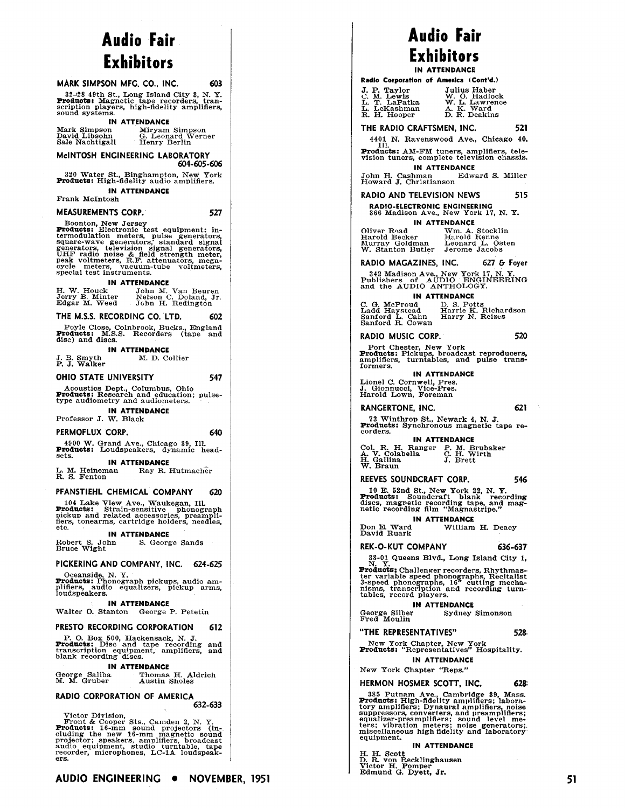# Audio Fair **Exhibitors**

#### MARK SIMPSON MFG, CO., INC.

32-28 49th St., Long Island City 3, N. Y.<br>**Products:** Magnetic tape recorders, transcription players, high-fidelity amplifiers,<br>sound systems.

#### **IN ATTENDANCE**

| Mark Simpson                     | Miryam Simpson                    |
|----------------------------------|-----------------------------------|
| David Libsohn<br>Sale Nachtigall | G. Leonard Werner<br>Henry Berlin |
|                                  |                                   |

#### McINTOSH ENGINEERING LABORATORY 604-605-606

320 Water St., Binghampton, New York<br>**Products:** High-fidelity audio amplifiers.

### **IN ATTENDANCE**

Frank McIntosh

**MEASUREMENTS CORP.** 

603

527

547

640

Boonton, New Jersey<br>
Products: Electronic test equipment: in-<br>
termodulation meters, pulse generators,<br>
square-wave generators, standard signal<br>
generators, television signal generators,<br>
peak voltmeters, R.F. attenuators,

#### **IN ATTENDANCE**

H. W. Houck<br>Jerry B. Minter<br>Edgar M. Weed John M. Van Beuren<br>Nelson C. Doland, Jr.<br>John H. Redington

#### THE M.S.S. RECORDING CO. LTD. 602

Poyle Close, Colnbrook, Bucks., England<br>roducts: M.S.S. Recorders (tape and Products: disc) and discs.

#### **IN ATTENDANCE**

J. B. Smyth<br>P. J. Walker M. D. Collier

OHIO STATE UNIVERSITY

Acoustics Dept., Columbus, Ohio<br>**Products:** Research and education; pulse-<br>type audiometry and audiometers.

#### **IN ATTENDANCE** Professor J. W. Black

PERMOFLUX CORP.

4900 W. Grand Ave., Chicago 39, Ill.<br>**Products:** Loudspeakers, dynamic headsets.

#### **IN ATTENDANCE**

L. M. Heineman<br>R. S. Fenton Ray R. Hutmacher

#### PFANSTIEHL CHEMICAL COMPANY 620

104 Lake View Ave., Waukegan, Ill.<br>**Products:** Strain-sensitive phonograph<br>pickup and related accessories, preampli-<br>fiers, tonearms, cartridge holders, needles,

#### **IN ATTENDANCE**

Robert S. John<br>Bruce Wight S. George Sands

### PICKERING AND COMPANY, INC. 624-625

Coeanside, N. Y.<br> **Products:** Phonograph pickups, audio amplifiers, audio equalizers, pickup arms,<br>
loudspeakers.

#### **IN ATTENDANCE**

Walter O. Stanton George P. Petetin

#### PRESTO RECORDING CORPORATION 612

P. O. Box 500, Hackensack, N. J. Products: Disc and tape recording and transcription equipment, amplifiers, and blank recording discs.

#### **IN ATTENDANCE**

George Saliba<br>M. M. Gruber Thomas H. Aldrich<br>Austin Sholes

#### RADIO CORPORATION OF AMERICA 632-633

Victor Division,<br>Front & Cooper Sts., Camden 2, N. Y.<br>**Products:** 16-mm sound projectors (in-<br>cluding the new 16-mm magnetic sound<br>projector; speakers, amplifiers, broadcast<br>audio equipment, studio turntable, tape<br>recorde ers.

## Audio Fair Exhibitors **IN ATTENDANCE**

**Dadio Corporatio** 

| Naulo Corporation of America (Com G./ |                |
|---------------------------------------|----------------|
| J. P. Taylor                          | Julius Haber   |
| C. M. Lewis                           | W. O. Hadlock  |
| L. T. LaPatka                         | W. L. Lawrence |
| L. LeKashman                          | A. K. Ward     |
| R. H. Hooper                          | D. R. Deakins  |

THE RADIO CRAFTSMEN, INC. 521

4401 N. Ravenswood Ave., Chicago 40,

THE Products: AM-FM tuners, amplifiers, tele-<br>vision tuners, complete television chassis.

**IN ATTENDANCE** John H. Cashman<br>Howard J. Christianson<br>Howard J. Christianson

#### **RADIO AND TELEVISION NEWS** 515

**RADIO-ELECTRONIC ENGINEERING** 366 Madison Ave., New York 17, N. Y.

#### **IN ATTENDANCE**

Oliver R<sub>2</sub>ad Wm. A. Stocklin<br>Harold Becker Harold Kenne<br>Murray Goldman Leonard L. Osten<br>W. Stanton Butler Jerome Jacobs

RADIO MAGAZINES, INC.  $627$   $G$  Fover

342 Madison Ave., New York 17, N.Y.<br>Publishers of AUDIO ENGINEERING<br>and the AUDIO ANTHOLOGY.

**IN ATTENDANCE** 

D. S. Potts<br>Harrie K. Richardson<br>Harry N. Reizes C. G. McProud<br>Ladd Haystead<br>Sanford L. Cahn<br>Sanford R. Cowan

RADIO MUSIC CORP.

Port Chester, New York<br>**Products:** Pickups, broadcast reproducers,<br>amplifiers, turntables, and pulse transformers.

IN ATTENDANCE Lionel C. Cornwell, Pres.<br>J. Gionnucci, Vice-Pres.<br>Harold Lown, Foreman

621

73 Winthrop St., Newark 4, N. J.<br>Products: Synchronous magnetic tape recorders.

**IN ATTENDANCE** 

Col. R. H. Ranger P. M. Brubaker<br>A. V. Colabella C. H. Wirth<br>H. Gallina J. Brett<br>W. Braun

#### REEVES SOUNDCRAFT CORP. 546

10 E. 52nd St., New York 22, N. Y.<br>**Products:** Sounderaft blank recording discs, magnetic recording tape, and magnetic recording film "Magnastripe."

**IN ATTENDANCE** Don E. Ward<br>David Ruark William H. Deacy

#### **REK-O-KUT COMPANY** 636-637

38-01 Queens Blvd., Long Island City 1,

N. Y.<br> **Products:** Challenger recorders, Rhythmas-<br> **Products:** Challenged phonographs, Recitalist<br>
3-speed phonographs, 16" cutting mecha-<br>
nisms, transcription and recording turn-<br>
tables, record players.<br>
...

**IN ATTENDANCE** Sydney Simonson

George Silber<br>Fred Moulin

"THE REPRESENTATIVES"

New York Chapter, New York<br>**Products:** "Representatives" Hospitality.

**IN ATTENDANCE** 

### New York Chapter "Reps."

HERMON HOSMER SCOTT, INC.

The absolution of the Cambridge 39, Mass.<br>
Troducts: High-fidelity amplifiers, laboratory amplifiers, pynaural amplifiers, noise<br>
suppressors, converters, and preamplifiers;<br>
equalizer-preamplifiers; sound level me-<br>
ters; equipment.

#### **IN ATTENDANCE**

H. H. Scott<br>D. R. von Recklinghausen<br>Victor H. Pomper<br>Edmund G. Dyett, Jr.

528

628

520

## RANGERTONE, INC.